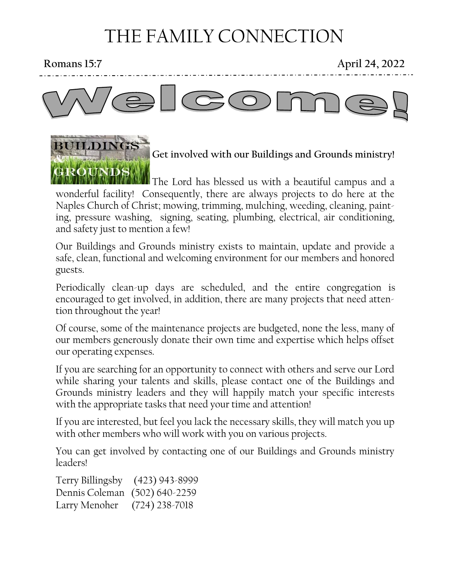# THE FAMILY CONNECTION

BUILDINGS

**Romans 15:7 April 24, 2022**



# **Get involved with our Buildings and Grounds ministry!**

**The Lord has blessed us with a beautiful campus and a** wonderful facility! Consequently, there are always projects to do here at the Naples Church of Christ; mowing, trimming, mulching, weeding, cleaning, painting, pressure washing, signing, seating, plumbing, electrical, air conditioning, and safety just to mention a few!

Our Buildings and Grounds ministry exists to maintain, update and provide a safe, clean, functional and welcoming environment for our members and honored guests.

Periodically clean-up days are scheduled, and the entire congregation is encouraged to get involved, in addition, there are many projects that need attention throughout the year!

Of course, some of the maintenance projects are budgeted, none the less, many of our members generously donate their own time and expertise which helps offset our operating expenses.

If you are searching for an opportunity to connect with others and serve our Lord while sharing your talents and skills, please contact one of the Buildings and Grounds ministry leaders and they will happily match your specific interests with the appropriate tasks that need your time and attention!

If you are interested, but feel you lack the necessary skills, they will match you up with other members who will work with you on various projects.

You can get involved by contacting one of our Buildings and Grounds ministry leaders!

Terry Billingsby (423) 943-8999 Dennis Coleman (502) 640-2259 Larry Menoher (724) 238-7018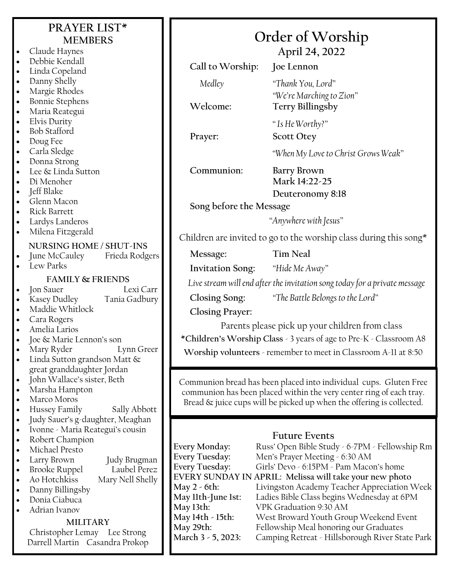## **PRAYER LIST\* MEMBERS**

- Claude Haynes • Debbie Kendall
- Linda Copeland
- Danny Shelly
- Margie Rhodes
- Bonnie Stephens
- Maria Reategui
- Elvis Durity
- Bob Stafford
- Doug Fee
- Carla Sledge
- Donna Strong
- Lee & Linda Sutton
- Di Menoher
- Jeff Blake
- Glenn Macon
- Rick Barrett
- Lardys Landeros
- Milena Fitzgerald

- **NURSING HOME / SHUT-INS** June McCauley
- Lew Parks

### **FAMILY & FRIENDS**

• Jon Sauer Lexi Carr

- Kasey Dudley Tania Gadbury
- Maddie Whitlock
- Cara Rogers
- Amelia Larios
- Joe & Marie Lennon's son
- Mary Ryder Lynn Greer
- Linda Sutton grandson Matt & great granddaughter Jordan
- John Wallace's sister, Beth
- Marsha Hampton
- Marco Moros
- Hussey Family Sally Abbott
- Judy Sauer's g-daughter, Meaghan
- Ivonne Maria Reategui's cousin
- Robert Champion
- Michael Presto
- Larry Brown Judy Brugman
	-
- **Brooke Ruppel** • Ao Hotchkiss Mary Nell Shelly
- Danny Billingsby
- Donia Ciabuca
- Adrian Ivanov

### **MILITARY**

Christopher Lemay Lee Strong Darrell Martin Casandra Prokop

| Order of Worship        |
|-------------------------|
| $\Delta$ pril $24.2022$ |

**April 24, 2022 Call to Worship: Joe Lennon** *Medley "Thank You, Lord" "We're Marching to Zion"* **Welcome: Terry Billingsby** *" Is He Worthy?"* **Prayer: Scott Otey** *"When My Love to Christ Grows Weak"* **Communion: Barry Brown Mark 14:22-25 Deuteronomy 8:18 Song before the Message** *"Anywhere with Jesus"* Children are invited to go to the worship class during this song $*$ **Message: Tim Neal Invitation Song:** *"Hide Me Away" Live stream will end after the invitation song today for a private message* **Closing Song:** *"The Battle Belongs to the Lord"* **Closing Prayer:** Parents please pick up your children from class **\*Children's Worship Class** - 3 years of age to Pre-K - Classroom A8 **Worship volunteers** - remember to meet in Classroom A-11 at 8:50

Communion bread has been placed into individual cups. Gluten Free communion has been placed within the very center ring of each tray. Bread & juice cups will be picked up when the offering is collected.

### **Future Events**

**Every Monday:** Russ' Open Bible Study - 6-7PM - Fellowship Rm **Every Tuesday:** Men's Prayer Meeting - 6:30 AM **Every Tuesday:** Girls' Devo - 6:15PM - Pam Macon's home **EVERY SUNDAY IN APRIL: Melissa will take your new photo May 2 - 6th:** Livingston Academy Teacher Appreciation Week **May 11th-June 1st:** Ladies Bible Class begins Wednesday at 6PM **May 13th:** VPK Graduation 9:30 AM **May 14th - 15th:** West Broward Youth Group Weekend Event May 29th: Fellowship Meal honoring our Graduates<br>March 3 - 5, 2023: Camping Retreat - Hillsborough River Sta **March 3 - 5, 2023:** Camping Retreat - Hillsborough River State Park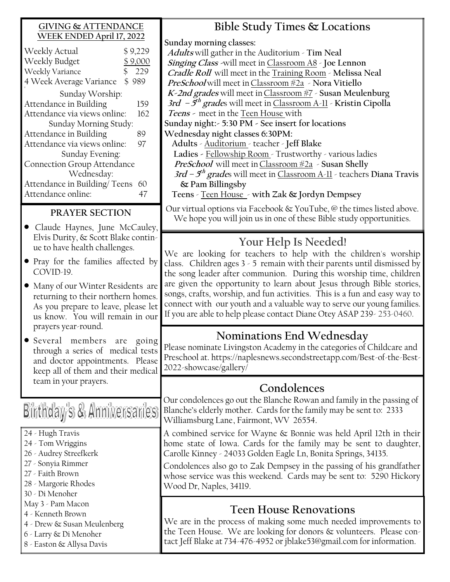### **GIVING & ATTENDANCE WEEK ENDED April 17, 2022**

| Weekly Actual                | \$9,229 |  |
|------------------------------|---------|--|
| Weekly Budget                | \$9,000 |  |
| \$<br>Weekly Variance        | 229     |  |
| 4 Week Average Variance      | \$989   |  |
| Sunday Worship:              |         |  |
| Attendance in Building       | 159     |  |
| Attendance via views online: | 162     |  |
| Sunday Morning Study:        |         |  |
| Attendance in Building       | 89      |  |
| Attendance via views online: | 97      |  |
| Sunday Evening:              |         |  |
| Connection Group Attendance  |         |  |
| Wednesday:                   |         |  |
| Attendance in Building/Teens | 60      |  |
| Attendance online:           | 47      |  |

### **PRAYER SECTION**

- Claude Haynes, June McCauley, Elvis Durity, & Scott Blake continue to have health challenges.
- Pray for the families affected by COVID-19.
- Many of our Winter Residents are returning to their northern homes. As you prepare to leave, please let us know. You will remain in our prayers year-round.
- Several members are going through a series of medical tests and doctor appointments. Please keep all of them and their medical team in your prayers.

# Birthday's & Anniversaries

- 24 Hugh Travis
- 24 Tom Wriggins
- 26 Audrey Streefkerk
- 27 Sonyia Rimmer
- 27 Faith Brown
- 28 Margorie Rhodes
- 30 Di Menoher
- May 3 Pam Macon
- 4 Kenneth Brown
- 4 Drew & Susan Meulenberg
- 6 Larry & Di Menoher
- 8 Easton & Allysa Davis

# **Bible Study Times & Locations**

**Sunday morning classes:**

**Adults** will gather in the Auditorium - **Tim Neal Singing Class -**will meet in Classroom A8 - **Joe Lennon Cradle Roll** will meet in the Training Room - **Melissa Neal PreSchool** will meet inClassroom #2a - **Nora Vitiello K-2nd grades** will meet inClassroom #7 - **Susan Meulenburg 3rd – 5 th grade**s will meet in Classroom A-11 - **Kristin Cipolla Teens -** meet in the Teen House with **Sunday night:- 5:30 PM - See insert for locations Wednesday night classes 6:30PM: Adults** - Auditorium - teacher - **Jeff Blake Ladies -** Fellowship Room - Trustworthy - various ladies **PreSchool** will meet inClassroom #2a - **Susan Shelly 3rd – 5 th grade**s will meet in Classroom A-11 - teachers **Diana Travis & Pam Billingsby** 

**Teens** - Teen House - **with Zak & Jordyn Dempsey**

Our virtual options via Facebook & YouTube, @ the times listed above. We hope you will join us in one of these Bible study opportunities.

# **Your Help Is Needed!**

We are looking for teachers to help with the children's worship class. Children ages 3 - 5 remain with their parents until dismissed by the song leader after communion. During this worship time, children are given the opportunity to learn about Jesus through Bible stories, songs, crafts, worship, and fun activities. This is a fun and easy way to connect with our youth and a valuable way to serve our young families. If you are able to help please contact Diane Otey ASAP 239- 253-0460.

# **Nominations End Wednesday**

Please nominate Livingston Academy in the categories of Childcare and Preschool at. https://naplesnews.secondstreetapp.com/Best-of-the-Best-2022-showcase/gallery/

## **Condolences**

Our condolences go out the Blanche Rowan and family in the passing of Blanche's elderly mother. Cards for the family may be sent to: 2333 Williamsburg Lane, Fairmont, WV 26554.

A combined service for Wayne & Bonnie was held April 12th in their home state of Iowa. Cards for the family may be sent to daughter, Carolle Kinney - 24033 Golden Eagle Ln, Bonita Springs, 34135.

Condolences also go to Zak Dempsey in the passing of his grandfather whose service was this weekend. Cards may be sent to: 5290 Hickory Wood Dr, Naples, 34119.

# **Teen House Renovations**

We are in the process of making some much needed improvements to the Teen House. We are looking for donors & volunteers. Please contact Jeff Blake at 734-476-4952 or jblake53@gmail.com for information.